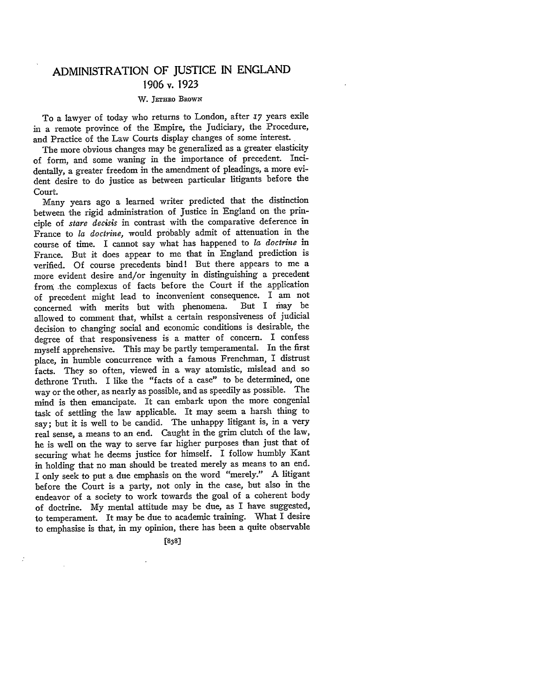## **ADMINISTRATION** OF **JUSTICE IN ENGLAND 1906** v. **1923**

## W. JETHRO BROWN

To a lawyer of today who returns to London, after *17* years exile in a remote province of the Empire, the Judiciary, the Procedure, and Practice of the Law Courts display changes of some interest.

The more obvious changes may be generalized as a greater elasticity of form, and some waning in the importance of precedent. Incidentally, a greater freedom in the amendment of pleadings, a more evident desire to do justice as between particular litigants before the Court.

Many years ago a learned writer predicted that the distinction between the rigid administration of Justice in England on the principle of *stare decisis* in contrast with the comparative deference in France to *la doctrine,* would probably admit of attenuation in the course of time. I cannot say what has happened to *la doctrine* in France. But it does appear to me that in England prediction is verified. Of course precedents bind! But there appears to me a more evident desire and/or ingenuity in distinguishing a precedent from the complexus of facts before the Court if the application of precedent might lead to inconvenient consequence. I am not concerned with merits but with phenomena. But I may be allowed to comment that, whilst a certain responsiveness of judicial decision to changing social and economic conditions is desirable, the degree of that responsiveness is a matter of concern. I confess myself apprehensive. This may be partly temperamental. In the first place, in humble concurrence with a famous Frenchman, I distrust facts. They so often, viewed in a way atomistic, mislead and so dethrone Truth. I like the "facts of a case" to be determined, one way or the other, as nearly as possible, and as speedily as possible. The mind is then emancipate. It can embark upon the more congenial task of settling the law applicable. It may seem a harsh thing to say; but it is well to be candid. The unhappy litigant is, in a very real sense, a means to an end. Caught in the grim clutch of the law, he is well on the way to serve far higher purposes than just that of securing what he deems justice for himself. I follow humbly Kant in holding that no man should be treated merely as means to an end. I only seek to put a due emphasis on the word "merely." A litigant before the Court is a party, not only in the case, but also in the endeavor of a society to work towards the goal of a coherent body of doctrine. **My** mental attitude may be due, as I have suggested, to temperament. It may be due to academic training. What I desire to emphasise is that, in my opinion, there has been a quite observable

**[838J**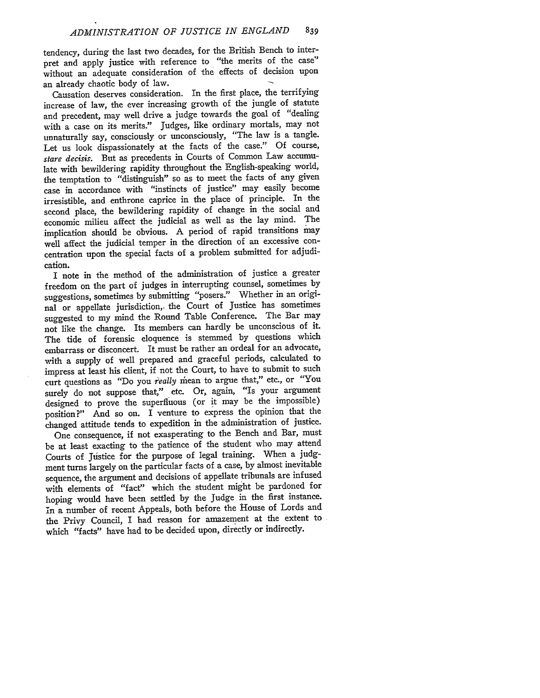tendency, during the last two decades, for the British Bench to interpret and apply justice with reference to "the merits of the case" without an adequate consideration of the effects of decision upon an already chaotic body of law.

Causation deserves consideration. In the first place, the terrifying increase of law, the ever increasing growth of the jungle of statute and precedent, may well drive a judge towards the goal of "dealing with a case on its merits." Judges, like ordinary mortals, may not unnaturally say, consciously or unconsciously, "The law is a tangle. Let us look dispassionately at the facts of the case." Of course, *stare decisis.* But as precedents in Courts of Common Law accumulate with bewildering rapidity throughout the English-speaking world, the temptation to "distinguish" so as to meet the facts of any given case in accordance with "instincts of justice" may easily become irresistible, and enthrone caprice in the place of principle. In the second place, the bewildering rapidity of change in the social and economic milieu affect the judicial as well as the lay mind. The implication should be obvious. A period of rapid transitions may well affect the judicial temper in the direction of an excessive concentration upon the special facts of a problem submitted for adjudication.

I note in the method of the administration of justice a greater freedom on the part of judges in interrupting counsel, sometimes by suggestions, sometimes by submitting "posers." Whether in an original or appellate jurisdiction,, the Court of Justice has sometimes suggested to my mind the Round Table Conference. The Bar may not like the change. Its members can hardly be unconscious of it. The tide of forensic eloquence is stemmed by questions which embarrass or disconcert. It must be rather an ordeal for an advocate, with a supply of well prepared and graceful periods, calculated to impress at least his client, if not the Court, to have to submit to such curt questions as "Do you *really* mean to argue that," etc., or "You surely do not suppose that," etc. Or, again, "Is your argument designed to prove the superfluous (or it may be the impossible) position?" And so on. I venture to express the opinion that the changed attitude tends to expedition in the administration of justice.

One consequence, if not exasperating to the Bench and Bar, must be at least exacting to the patience of the student who may attend Courts of Justice for the purpose of legal training. When a judgment turns largely on the particular facts of a case, by almost inevitable sequence, the argument and decisions of appellate tribunals are infused with elements of "fact" which the student might be pardoned for hoping would have been settled by the Judge in the first instance. in a number of recent Appeals, both before the House of Lords and the Privy Council, I had reason for amazement at the extent to which "facts" have had to be decided upon, directly or indirectly.